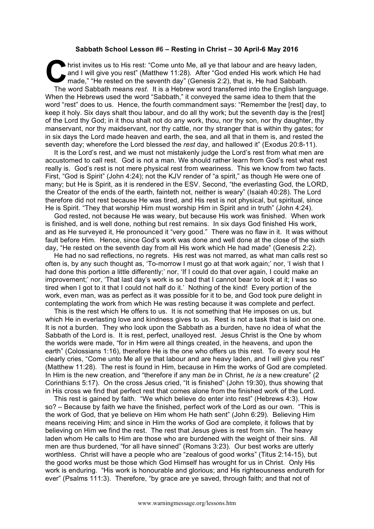## **Sabbath School Lesson #6 – Resting in Christ – 30 April-6 May 2016**

hrist invites us to His rest: "Come unto Me, all ye that labour and are heavy laden, and I will give you rest" (Matthew 11:28). After "God ended His work which He had made," "He rested on the seventh day" (Genesis 2:2), th and I will give you rest" (Matthew 11:28). After "God ended His work which He had made," "He rested on the seventh day" (Genesis 2:2), that is, He had Sabbath. The word Sabbath means *rest*. It is a Hebrew word transferred into the English language. When the Hebrews used the word "Sabbath," it conveyed the same idea to them that the word "rest" does to us. Hence, the fourth commandment says: "Remember the [rest] day, to keep it holy. Six days shalt thou labour, and do all thy work; but the seventh day is the [rest] of the Lord thy God; in it thou shalt not do any work, thou, nor thy son, nor thy daughter, thy manservant, nor thy maidservant, nor thy cattle, nor thy stranger that is within thy gates; for in six days the Lord made heaven and earth, the sea, and all that in them is, and rested the seventh day; wherefore the Lord blessed the *rest* day, and hallowed it" (Exodus 20:8-11).

It is the Lord's rest, and we must not mistakenly judge the Lord's rest from what men are accustomed to call rest. God is not a man. We should rather learn from God's rest what rest really is. God's rest is not mere physical rest from weariness. This we know from two facts. First, "God is Spirit" (John 4:24); not the KJV render of "a spirit," as though He were one of many; but He is Spirit, as it is rendered in the ESV. Second, "the everlasting God, the LORD, the Creator of the ends of the earth, fainteth not, neither is weary" (Isaiah 40:28). The Lord therefore did not rest because He was tired, and His rest is not physical, but spiritual, since He is Spirit. "They that worship Him must worship Him in Spirit and in truth" (John 4:24).

God rested, not because He was weary, but because His work was finished. When work is finished, and is well done, nothing but rest remains. In six days God finished His work, and as He surveyed it, He pronounced it "very good." There was no flaw in it. It was without fault before Him. Hence, since God's work was done and well done at the close of the sixth day, "He rested on the seventh day from all His work which He had made" (Genesis 2:2).

He had no sad reflections, no regrets. His rest was not marred, as what man calls rest so often is, by any such thought as, 'To-morrow I must go at that work again;' nor, 'I wish that I had done this portion a little differently;' nor, 'If I could do that over again. I could make an improvement;' nor, 'That last day's work is so bad that I cannot bear to look at it; I was so tired when I got to it that I could not half do it.' Nothing of the kind! Every portion of the work, even man, was as perfect as it was possible for it to be, and God took pure delight in contemplating the work from which He was resting because it was complete and perfect.

This is the rest which He offers to us. It is not something that He imposes on us, but which He in everlasting love and kindness gives to us. Rest is not a task that is laid on one. It is not a burden. They who look upon the Sabbath as a burden, have no idea of what the Sabbath of the Lord is. It is rest, perfect, unalloyed rest. Jesus Christ is the One by whom the worlds were made, "for in Him were all things created, in the heavens, and upon the earth" (Colossians 1:16), therefore He is the one who offers us this rest. To every soul He clearly cries, "Come unto Me all ye that labour and are heavy laden, and I will give you rest" (Matthew 11:28). The rest is found in Him, because in Him the works of God are completed. In Him is the new creation, and "therefore if any man *be* in Christ, *he is* a new creature" (2 Corinthians 5:17). On the cross Jesus cried, "It is finished" (John 19:30), thus showing that in His cross we find that perfect rest that comes alone from the finished work of the Lord.

This rest is gained by faith. "We which believe do enter into rest" (Hebrews 4:3). How so? – Because by faith we have the finished, perfect work of the Lord as our own. "This is the work of God, that ye believe on Him whom He hath sent" (John 6:29). Believing Him means receiving Him; and since in Him the works of God are complete, it follows that by believing on Him we find the rest. The rest that Jesus gives is rest from sin. The heavy laden whom He calls to Him are those who are burdened with the weight of their sins. All men are thus burdened, "for all have sinned" (Romans 3:23). Our best works are utterly worthless. Christ will have a people who are "zealous of good works" (Titus 2:14-15), but the good works must be those which God Himself has wrought for us in Christ. Only His work is enduring. "His work is honourable and glorious; and His righteousness endureth for ever" (Psalms 111:3). Therefore, "by grace are ye saved, through faith; and that not of